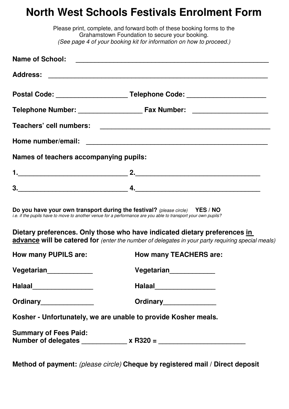## **North West Schools Festivals Enrolment Form**

|                                        | Please print, complete, and forward both of these booking forms to the<br>Grahamstown Foundation to secure your booking.<br>(See page 4 of your booking kit for information on how to proceed.) |  |  |  |  |  |  |
|----------------------------------------|-------------------------------------------------------------------------------------------------------------------------------------------------------------------------------------------------|--|--|--|--|--|--|
|                                        |                                                                                                                                                                                                 |  |  |  |  |  |  |
|                                        |                                                                                                                                                                                                 |  |  |  |  |  |  |
|                                        | Postal Code: __________________________Telephone Code: _________________________                                                                                                                |  |  |  |  |  |  |
|                                        |                                                                                                                                                                                                 |  |  |  |  |  |  |
|                                        |                                                                                                                                                                                                 |  |  |  |  |  |  |
|                                        |                                                                                                                                                                                                 |  |  |  |  |  |  |
| Names of teachers accompanying pupils: |                                                                                                                                                                                                 |  |  |  |  |  |  |
|                                        |                                                                                                                                                                                                 |  |  |  |  |  |  |
|                                        |                                                                                                                                                                                                 |  |  |  |  |  |  |
|                                        | Do you have your own transport during the festival? (please circle) YES / NO<br>i.e. if the pupils have to move to another venue for a performance are you able to transport your own pupils?   |  |  |  |  |  |  |
|                                        | Dietary preferences. Only those who have indicated dietary preferences in<br>advance will be catered for (enter the number of delegates in your party requiring special meals)                  |  |  |  |  |  |  |
| <b>How many PUPILS are:</b>            | <b>How many TEACHERS are:</b>                                                                                                                                                                   |  |  |  |  |  |  |
| Vegetarian_____________                | Vegetarian____________                                                                                                                                                                          |  |  |  |  |  |  |
| Halaal___________________              | Halaal_____________________                                                                                                                                                                     |  |  |  |  |  |  |
| Ordinary_______________                | Ordinary_______________                                                                                                                                                                         |  |  |  |  |  |  |
|                                        | Kosher - Unfortunately, we are unable to provide Kosher meals.                                                                                                                                  |  |  |  |  |  |  |
| <b>Summary of Fees Paid:</b>           | Number of delegates ____________ x R320 = _________________________                                                                                                                             |  |  |  |  |  |  |

**Method of payment:** (please circle) **Cheque by registered mail / Direct deposit**